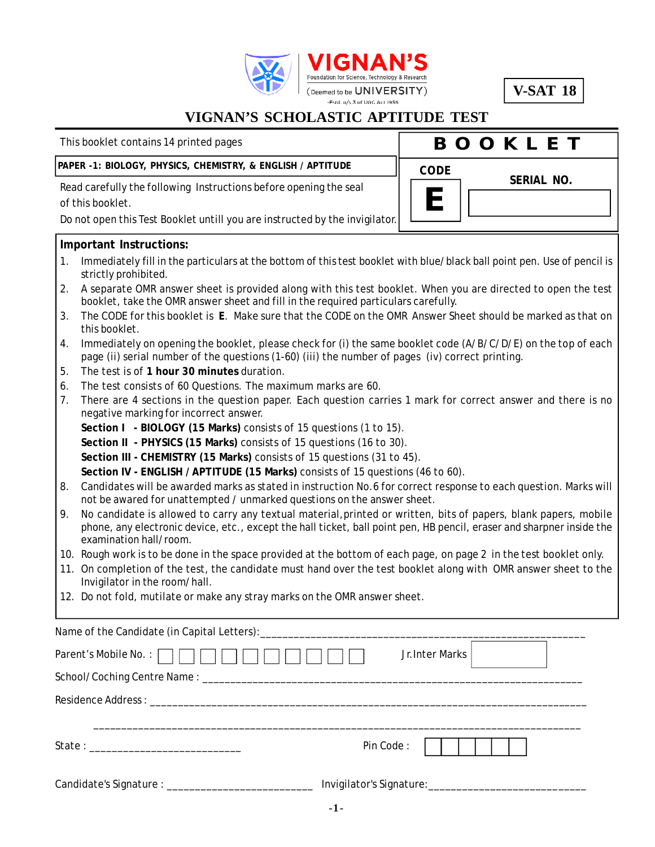

**V-SAT 18**

**SERIAL NO.**

**B O O K L E T**

**E**

**CODE**

### **VIGNAN'S SCHOLASTIC APTITUDE TEST**

This booklet contains 14 printed pages

#### **PAPER -1: BIOLOGY, PHYSICS, CHEMISTRY, & ENGLISH / APTITUDE**

Read carefully the following Instructions before opening the seal of this booklet.

Do not open this Test Booklet untill you are instructed by the invigilator.

#### **Important Instructions:**

- 1. Immediately fill in the particulars at the bottom of this test booklet with blue/black ball point pen. Use of pencil is strictly prohibited.
- 2. A separate OMR answer sheet is provided along with this test booklet. When you are directed to open the test booklet, take the OMR answer sheet and fill in the required particulars carefully.
- 3. The CODE for this booklet is **E**. Make sure that the CODE on the OMR Answer Sheet should be marked as that on this booklet.
- 4. Immediately on opening the booklet, please check for (i) the same booklet code (A/B/C/D/E) on the top of each page (ii) serial number of the questions (1-60) (iii) the number of pages (iv) correct printing.
- 5. The test is of **1 hour 30 minutes** duration.
- 6. The test consists of 60 Questions. The maximum marks are 60.
- 7. There are 4 sections in the question paper. Each question carries 1 mark for correct answer and there is no negative marking for incorrect answer.
	- **Section I BIOLOGY (15 Marks)** consists of 15 questions (1 to 15).

**Section II - PHYSICS (15 Marks)** consists of 15 questions (16 to 30).

**Section III - CHEMISTRY (15 Marks)** consists of 15 questions (31 to 45).

**Section IV - ENGLISH / APTITUDE (15 Marks)** consists of 15 questions (46 to 60).

- 8. Candidates will be awarded marks as stated in instruction No.6 for correct response to each question. Marks will not be awared for unattempted / unmarked questions on the answer sheet.
- 9. No candidate is allowed to carry any textual material,printed or written, bits of papers, blank papers, mobile phone, any electronic device, etc., except the hall ticket, ball point pen, HB pencil, eraser and sharpner inside the examination hall/room.
- 10. Rough work is to be done in the space provided at the bottom of each page, on page 2 in the test booklet only.
- 11. On completion of the test, the candidate must hand over the test booklet along with OMR answer sheet to the Invigilator in the room/hall.
- 12. Do not fold, mutilate or make any stray marks on the OMR answer sheet.

| Parent's Mobile No. : | Jr. Inter Marks |
|-----------------------|-----------------|
|                       |                 |
|                       |                 |
|                       |                 |
|                       | Pin Code:       |
|                       |                 |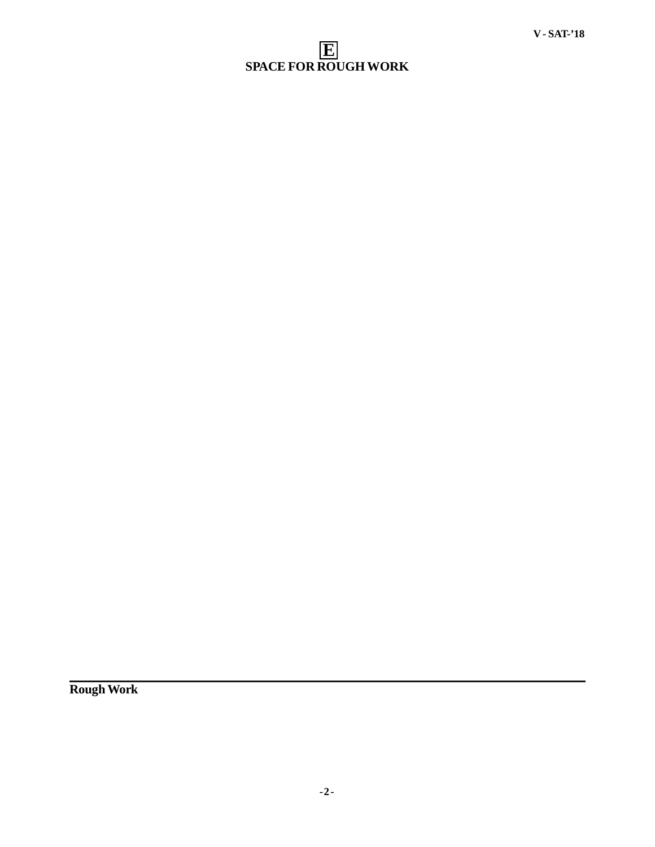### **E SPACE FOR ROUGH WORK**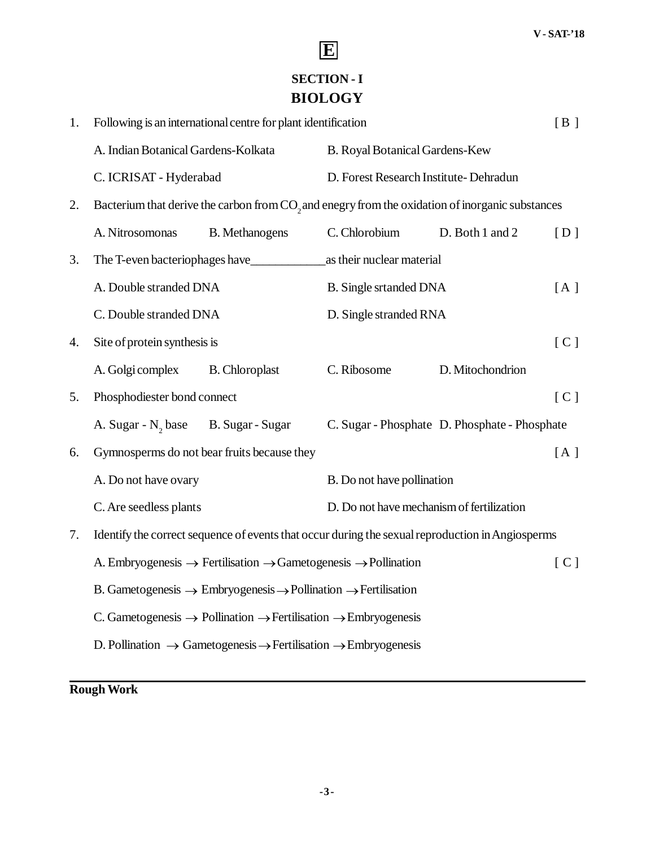## **SECTION - I BIOLOGY**

**E**

| 1. | Following is an international centre for plant identification    |                                                                                                             |                                           | [B]                                           |     |
|----|------------------------------------------------------------------|-------------------------------------------------------------------------------------------------------------|-------------------------------------------|-----------------------------------------------|-----|
|    | A. Indian Botanical Gardens-Kolkata                              |                                                                                                             | B. Royal Botanical Gardens-Kew            |                                               |     |
|    | D. Forest Research Institute- Dehradun<br>C. ICRISAT - Hyderabad |                                                                                                             |                                           |                                               |     |
| 2. |                                                                  | Bacterium that derive the carbon from CO <sub>2</sub> and enegry from the oxidation of inorganic substances |                                           |                                               |     |
|    | A. Nitrosomonas                                                  | <b>B.</b> Methanogens                                                                                       | C. Chlorobium                             | D. Both 1 and 2                               | [D] |
| 3. |                                                                  | The T-even bacteriophages have                                                                              | as their nuclear material                 |                                               |     |
|    | A. Double stranded DNA                                           |                                                                                                             | <b>B.</b> Single srtanded DNA             |                                               | [A] |
|    | C. Double stranded DNA                                           |                                                                                                             | D. Single stranded RNA                    |                                               |     |
| 4. | Site of protein synthesis is                                     |                                                                                                             |                                           |                                               | [C] |
|    | A. Golgi complex                                                 | <b>B.</b> Chloroplast                                                                                       | C. Ribosome                               | D. Mitochondrion                              |     |
| 5. | Phosphodiester bond connect                                      |                                                                                                             |                                           |                                               | [C] |
|    | A. Sugar - N <sub>2</sub> base                                   | B. Sugar - Sugar                                                                                            |                                           | C. Sugar - Phosphate D. Phosphate - Phosphate |     |
| 6. | Gymnosperms do not bear fruits because they                      |                                                                                                             |                                           | [A]                                           |     |
|    | A. Do not have ovary                                             |                                                                                                             | B. Do not have pollination                |                                               |     |
|    | C. Are seedless plants                                           |                                                                                                             | D. Do not have mechanism of fertilization |                                               |     |
| 7. |                                                                  | Identify the correct sequence of events that occur during the sexual reproduction in Angiosperms            |                                           |                                               |     |
|    |                                                                  | A. Embryogenesis $\rightarrow$ Fertilisation $\rightarrow$ Gametogenesis $\rightarrow$ Pollination          |                                           |                                               | [C] |
|    |                                                                  | B. Gametogenesis $\rightarrow$ Embryogenesis $\rightarrow$ Pollination $\rightarrow$ Fertilisation          |                                           |                                               |     |
|    |                                                                  | C. Gametogenesis $\rightarrow$ Pollination $\rightarrow$ Fertilisation $\rightarrow$ Embryogenesis          |                                           |                                               |     |
|    |                                                                  | D. Pollination $\rightarrow$ Gametogenesis $\rightarrow$ Fertilisation $\rightarrow$ Embryogenesis          |                                           |                                               |     |
|    |                                                                  |                                                                                                             |                                           |                                               |     |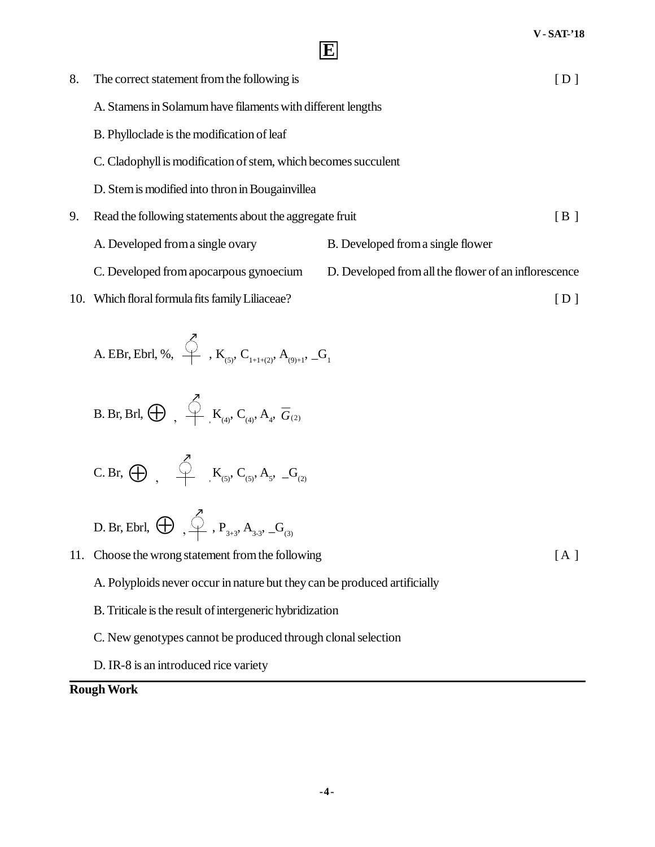| 8. | The correct statement from the following is                    |                                                      | [D]                                           |
|----|----------------------------------------------------------------|------------------------------------------------------|-----------------------------------------------|
|    | A. Stamens in Solamum have filaments with different lengths    |                                                      |                                               |
|    | B. Phylloclade is the modification of leaf                     |                                                      |                                               |
|    | C. Cladophyll is modification of stem, which becomes succulent |                                                      |                                               |
|    | D. Stem is modified into thron in Bougainvillea                |                                                      |                                               |
| 9. | Read the following statements about the aggregate fruit        |                                                      | $\left[\begin{array}{c} B \end{array}\right]$ |
|    | A. Developed from a single ovary                               | B. Developed from a single flower                    |                                               |
|    | C. Developed from apocarpous gynoecium                         | D. Developed from all the flower of an inflorescence |                                               |
|    | 10. Which floral formula fits family Liliaceae?                |                                                      | D                                             |
|    | ↗                                                              |                                                      |                                               |

A. EBr, Ebrl, %, 
$$
\overset{\circ}{\longleftrightarrow}
$$
, K<sub>(5)</sub>, C<sub>1+1+(2)</sub>, A<sub>(9)+1</sub>, G<sub>1</sub>

B. Br, Brl, 
$$
\bigoplus
$$
,  $\bigoplus$ ,  $K_{(4)}$ ,  $C_{(4)}$ ,  $A_4$ ,  $\overline{G}_{(2)}$ 

$$
C.\operatorname{Br},\, \bigoplus\, \quad \stackrel{\textstyle \bigtriangleup}{\longrightarrow}\quad \ K_{\scriptscriptstyle (5)},\, C_{\scriptscriptstyle (5)},\, A_{\scriptscriptstyle 5},\, \_G_{\scriptscriptstyle (2)}
$$

$$
\text{D. Br, Ebrl, } \bigoplus \text{ } \bigoplus \text{ } \bigoplus \text{ } \text{ } \text{ } \text{ } \text{P}_{\text{3+3}}, \text{ } \text{A}_{\text{3-3}}, \text{ } \text{-G}_{\text{(3)}}
$$

11. Choose the wrong statement from the following [A ]

- A. Polyploids never occur in nature but they can be produced artificially
- B. Triticale is the result of intergeneric hybridization
- C. New genotypes cannot be produced through clonal selection
- D. IR-8 is an introduced rice variety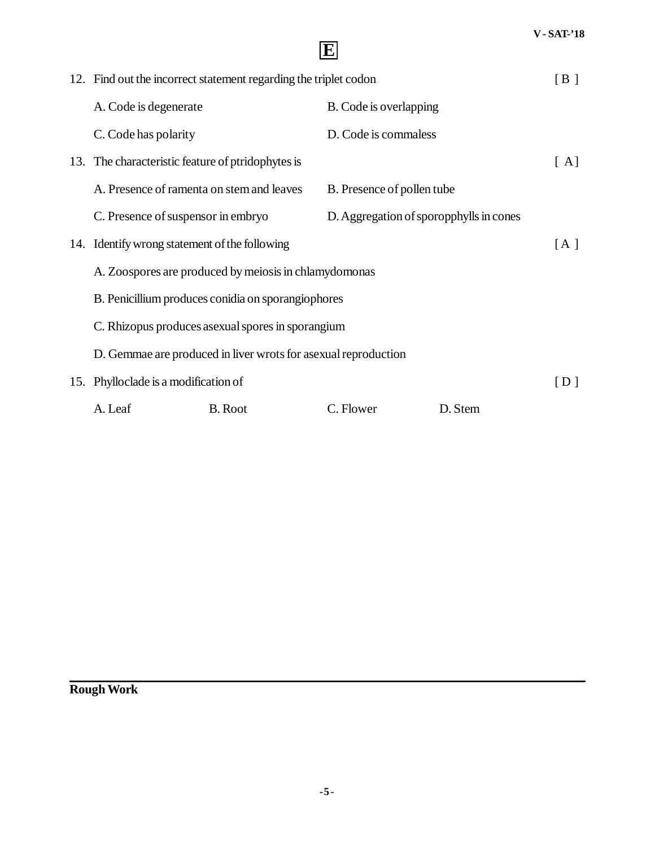| 12. Find out the incorrect statement regarding the triplet codon |                                                                |                                         | [B]     |                   |
|------------------------------------------------------------------|----------------------------------------------------------------|-----------------------------------------|---------|-------------------|
| A. Code is degenerate                                            |                                                                | B. Code is overlapping                  |         |                   |
| C. Code has polarity                                             |                                                                | D. Code is commaless                    |         |                   |
| 13. The characteristic feature of ptridophytes is                |                                                                |                                         |         | [A]               |
| A. Presence of ramenta on stem and leaves                        |                                                                | B. Presence of pollen tube              |         |                   |
| C. Presence of suspensor in embryo                               |                                                                | D. Aggregation of sporopphylls in cones |         |                   |
| 14. Identify wrong statement of the following                    |                                                                |                                         |         | [A]               |
| A. Zoospores are produced by meiosis in chlamydomonas            |                                                                |                                         |         |                   |
| B. Penicillium produces conidia on sporangiophores               |                                                                |                                         |         |                   |
| C. Rhizopus produces as exual spores in sporangium               |                                                                |                                         |         |                   |
|                                                                  | D. Gemmae are produced in liver wrots for asexual reproduction |                                         |         |                   |
| 15. Phylloclade is a modification of                             |                                                                |                                         |         | $\lceil D \rceil$ |
| A. Leaf                                                          | <b>B.</b> Root                                                 | C. Flower                               | D. Stem |                   |

**E**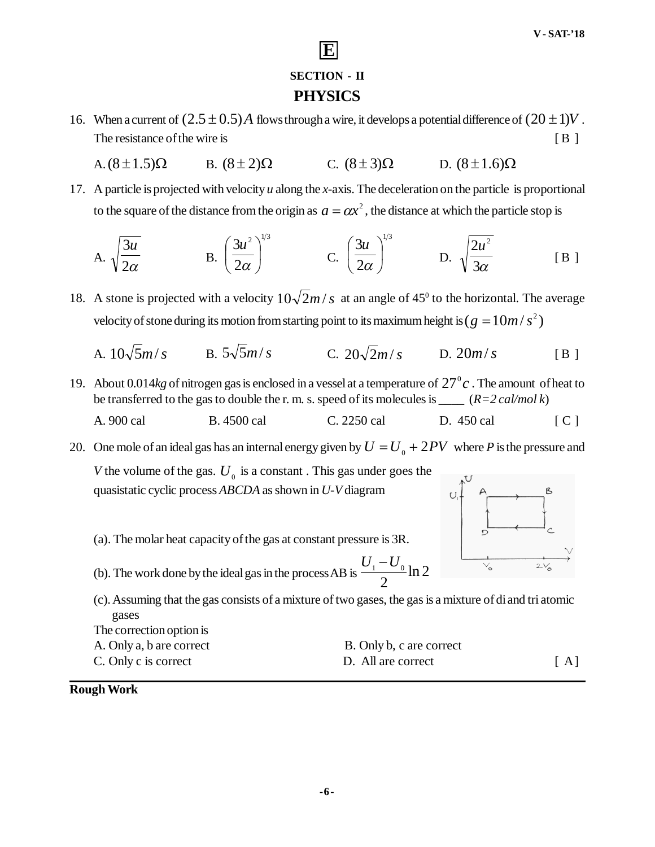### **SECTION - II PHYSICS**

**E**

- 16. When a current of  $(2.5 \pm 0.5)$  *A* flows through a wire, it develops a potential difference of  $(20 \pm 1)V$ . The resistance of the wire is [ B ]
	- A.  $(8 \pm 1.5)\Omega$  B.  $(8 \pm 2)\Omega$  C.  $(8 \pm 3)\Omega$  D.  $(8 \pm 1.6)\Omega$
- 17. A particle is projected with velocity *u* along the *x*-axis. The deceleration on the particle is proportional to the square of the distance from the origin as  $a = \alpha x^2$ , the distance at which the particle stop is

A. 
$$
\sqrt{\frac{3u}{2\alpha}}
$$
 \tB.  $\left(\frac{3u^2}{2\alpha}\right)^{1/3}$  \tC.  $\left(\frac{3u}{2\alpha}\right)^{1/3}$  \tD.  $\sqrt{\frac{2u^2}{3\alpha}}$  \t [B]

- 18. A stone is projected with a velocity  $10\sqrt{2m/s}$  at an angle of 45<sup>0</sup> to the horizontal. The average velocity of stone during its motion from starting point to its maximum height is (  $g = 10 m / s^2$  )
	- A.  $10\sqrt{5}m/s$  B.  $5\sqrt{5}m/s$  C.  $20\sqrt{2}m/s$  D.  $20m/s$  [B ]
- 19. About 0.014 $kg$  of nitrogen gas is enclosed in a vessel at a temperature of  $27^\circ c$ . The amount of heat to be transferred to the gas to double the r. m. s. speed of its molecules is \_\_\_\_ (*R=2 cal/mol k*)
	- A. 900 cal B. 4500 cal C. 2250 cal D. 450 cal [ C ]

20. One mole of an ideal gas has an internal energy given by  $U = U_0 + 2PV$  where *P* is the pressure and

*V* the volume of the gas.  $U_0$  is a constant. This gas under goes the quasistatic cyclic process *ABCDA* as shown in *U-V* diagram

- (a). The molar heat capacity of the gas at constant pressure is 3R.
- (b). The work done by the ideal gas in the process AB is  $\frac{6}{1}$  and  $\frac{6}{1}$  h 2 2  $U_1 - U_0$

(c). Assuming that the gas consists of a mixture of two gases, the gas is a mixture of di and tri atomic gases The correction option is

| The correction option is |                          |   |
|--------------------------|--------------------------|---|
| A. Only a, b are correct | B. Only b, c are correct |   |
| C. Only c is correct     | D. All are correct       | A |



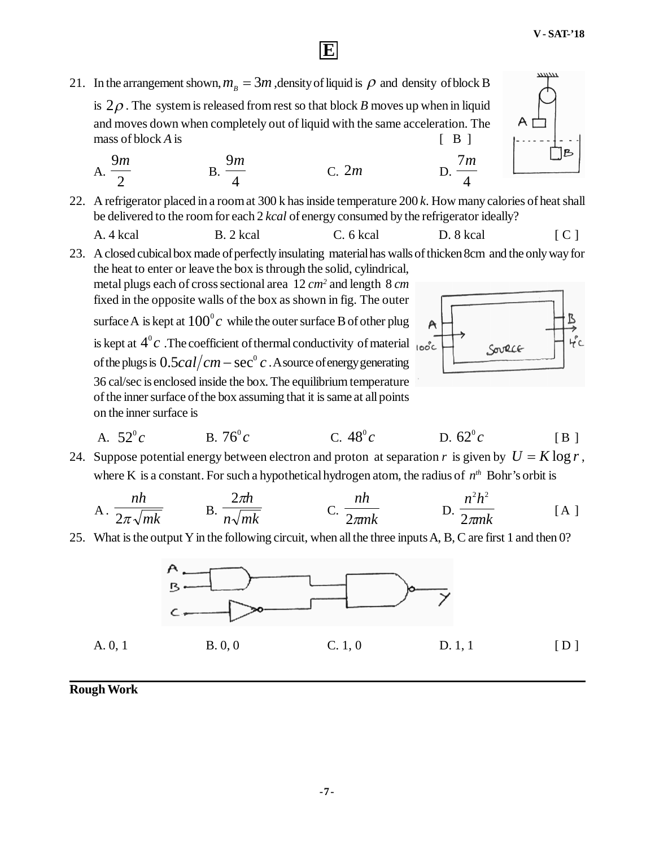21. In the arrangement shown,  $m_B = 3m$ , density of liquid is  $\rho$  and density of block B is  $2\rho$ . The system is released from rest so that block *B* moves up when in liquid and moves down when completely out of liquid with the same acceleration. The

mass of block  $A$  is  $[ B ]$ 

A. 
$$
\frac{9m}{2}
$$
 \t\t B.  $\frac{9m}{4}$  \t C. 2m \t D.

22. A refrigerator placed in a room at 300 k has inside temperature 200 *k*. How many calories of heat shall be delivered to the room for each 2 *kcal* of energy consumed by the refrigerator ideally?

**E**

A. 4 kcal B. 2 kcal C. 6 kcal D. 8 kcal [ C ]

23. A closed cubical box made of perfectly insulating material has walls of thicken 8cm and the only way for the heat to enter or leave the box is through the solid, cylindrical,

metal plugs each of cross sectional area 12 *cm<sup>2</sup>* and length 8 *cm* fixed in the opposite walls of the box as shown in fig. The outer surface A is kept at  $100^{\rm o}c\,$  while the outer surface B of other plug is kept at  $4^{\circ}c$  .The coefficient of thermal conductivity of material of the plugs is  $0.5 cal/cm - sec^{\circ}c$  . A source of energy generating 36 cal/sec is enclosed inside the box. The equilibrium temperature of the inner surface of the box assuming that it is same at all points on the inner surface is



4 7*m*

A. 
$$
52^{\circ}c
$$
 \t\t B.  $76^{\circ}c$  \t\t C.  $48^{\circ}c$  \t\t D.  $62^{\circ}c$  \t\t [B]

24. Suppose potential energy between electron and proton at separation r is given by  $U = K \log r$ , where K is a constant. For such a hypothetical hydrogen atom, the radius of  $n^{th}$  Bohr's orbit is

A. 
$$
\frac{nh}{2\pi\sqrt{mk}}
$$
 B.  $\frac{2\pi h}{n\sqrt{mk}}$  C.  $\frac{nh}{2\pi mk}$  D.  $\frac{n^2h^2}{2\pi mk}$  [A]

25. What is the output Y in the following circuit, when all the three inputs A, B, C are first 1 and then 0?

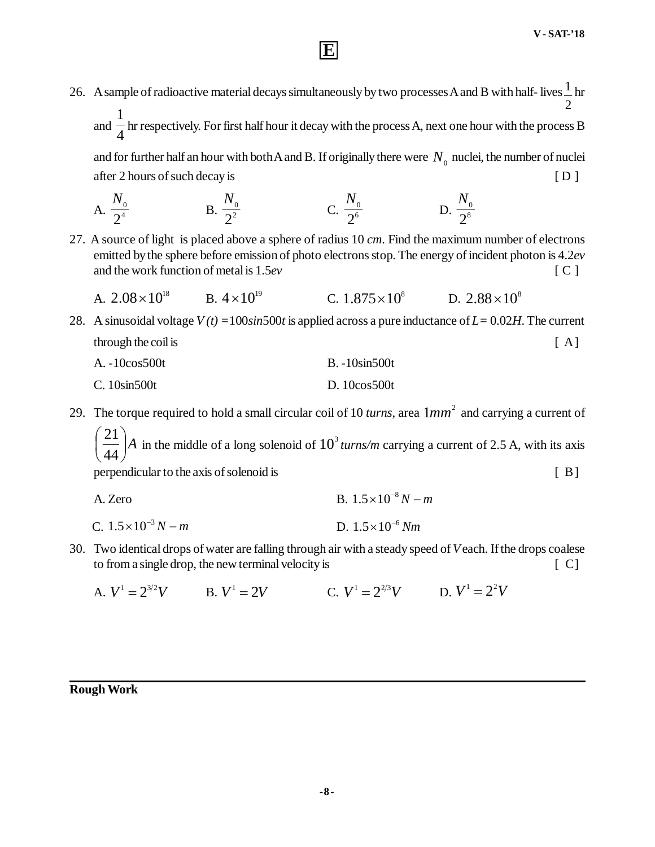26. A sample of radioactive material decays simultaneously by two processes A and B with half- lives  $\frac{1}{n}$  hr 2 1

**E**

and  $\frac{1}{4}$ hr respectively. For first half hour it decay with the process A, next one hour with the process B

and for further half an hour with both A and B. If originally there were  $N_{_0}$  nuclei, the number of nuclei after 2 hours of such decay is  $[D]$ 

A. 
$$
\frac{N_0}{2^4}
$$
 \t\t B.  $\frac{N_0}{2^2}$  \t\t C.  $\frac{N_0}{2^6}$  \t\t D.  $\frac{N_0}{2^8}$ 

27. A source of light is placed above a sphere of radius 10 *cm*. Find the maximum number of electrons emitted by the sphere before emission of photo electrons stop. The energy of incident photon is 4.2*ev* and the work function of metal is 1.5*ev* [ C ]

A. 
$$
2.08 \times 10^{18}
$$
 B.  $4 \times 10^{19}$  C.  $1.875 \times 10^{8}$  D.  $2.88 \times 10^{8}$ 

28. A sinusoidal voltage *V (t) =*100*sin*500*t* is applied across a pure inductance of *L=* 0.02*H*. The current through the coil is  $[A]$ A.  $-10\cos 500t$  B.  $-10\sin 500t$ 

C. 10sin500t D. 10cos500t

29. The torque required to hold a small circular coil of 10 *turns*, area  $1mm^2$  and carrying a current of

*A*  $\bigg)$  $\setminus$  $\mathsf{I}$  $\setminus$ ſ 44  $\left( \frac{21}{44} \right)$  *A* in the middle of a long solenoid of  $10^3$  turns/m carrying a current of 2.5 A, with its axis perpendicular to the axis of solenoid is [ B]

| A. Zero | B. $1.5 \times 10^{-8} N - m$ |
|---------|-------------------------------|
|         |                               |

- C.  $1.5 \times 10^{-3} N m$  $1.5 \times 10^{-3}$  N – m D.  $1.5 \times 10^{-6}$  Nm
- 30. Two identical drops of water are falling through air with a steady speed of *V* each. If the drops coalese to from a single drop, the new terminal velocity is  $[ C ]$ 
	- A.  $V^1 = 2^{3/2}V$  B.  $V^1 = 2V$  C.  $V^1 = 2^{2/3}V$  D.  $V^1 = 2^2V$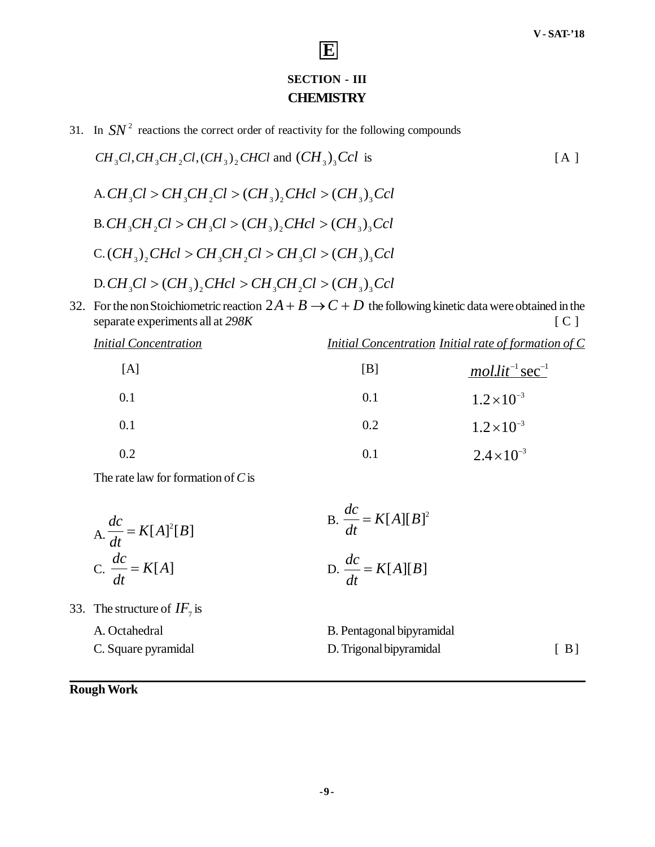### **SECTION - III CHEMISTRY**

**E**

31. In  $SN<sup>2</sup>$  reactions the correct order of reactivity for the following compounds

$$
CH_3Cl, CH_3CH_2Cl, (CH_3)_2CHCl
$$
 and  $(CH_3)_3Col$  is  
\nA.  $CH_3Cl > CH_3CH_2Cl > (CH_3)_2CHcl > (CH_3)_3Ccl$   
\nB.  $CH_3CH_2Cl > CH_3Cl > (CH_3)_2CHcl > (CH_3)_3Ccl$   
\nC.  $(CH_3)_2CHcl > CH_3CH_2Cl > CH_3Cl > CH_3Cl > (CH_3)_3Ccl$   
\nD.  $CH_3Cl > (CH_3)_2CHcl > CH_3CH_2Cl > (CH_3)_3Ccl$ 

32. For the non Stoichiometric reaction  $2A + B \rightarrow C + D$  the following kinetic data were obtained in the separate experiments all at 298K [ C ]

| $\frac{1}{2}$                |     | $\sim$ 1                                                    |
|------------------------------|-----|-------------------------------------------------------------|
| <b>Initial Concentration</b> |     | <i>Initial Concentration Initial rate of formation of C</i> |
| [A]                          | [B] | $mollit^{-1}$ sec <sup>-1</sup>                             |
| 0.1                          | 0.1 | $1.2 \times 10^{-3}$                                        |
| 0.1                          | 0.2 | $1.2 \times 10^{-3}$                                        |
| 0.2                          | 0.1 | $2.4 \times 10^{-3}$                                        |

The rate law for formation of *C* is

$$
\text{A.} \frac{dc}{dt} = K[A]^2[B] \qquad \qquad \text{B.} \frac{dc}{dt} = K[A][B]^2
$$
\n
$$
\text{C.} \frac{dc}{dt} = K[A] \qquad \qquad \text{D.} \frac{dc}{dt} = K[A][B]
$$

33. The structure of  $IF<sub>7</sub>$  is

A. Octahedral B. Pentagonal bipyramidal C. Square pyramidal D. Trigonal bipyramidal [ B]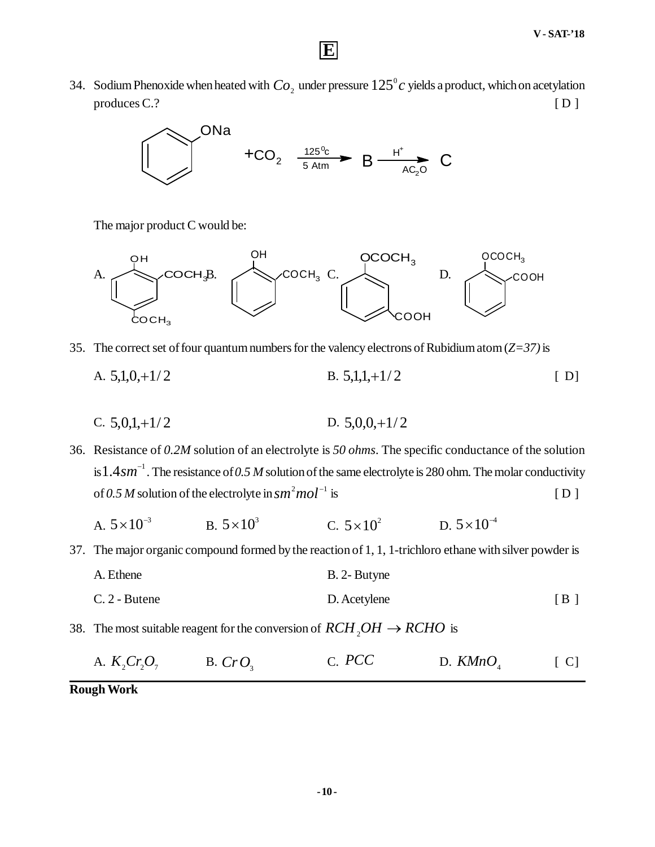34. Sodium Phenoxide when heated with  $Co_2$  under pressure  $125^\circ c$  yields a product, which on acetylation  $p$ roduces C.?  $[D]$ 

**E**



The major product C would be:



- 35. The correct set of four quantum numbers for the valency electrons of Rubidium atom (*Z=37)* is
	- A.  $5,1,0,+1/2$  B.  $5,1,1,+1/2$  [ D]
	- C.  $5,0,1,+1/2$  D.  $5,0,0,+1/2$

36. Resistance of *0.2M* solution of an electrolyte is *50 ohms*. The specific conductance of the solution is  $1.4$   $sm^{-1}$  . The resistance of 0.5 M solution of the same electrolyte is 280 ohm. The molar conductivity of 0.5 M solution of the electrolyte in  $sm^2mol^{-1}$  is  $[D]$ 

- A.  $5 \times 10^{-3}$ B.  $5 \times 10^3$  $5 \times 10^3$  C.  $5 \times 10^2$  D.  $5 \times 10^{-4}$  $5 \times 10^{-7}$
- 37. The major organic compound formed by the reaction of 1, 1, 1-trichloro ethane with silver powder is
	- A. Ethene B. 2- Butyne C. 2 - Butene [ B ]
- 38. The most suitable reagent for the conversion of  $RCH_2OH \rightarrow RCHO$  is
	- A.  $K_2Cr_2O_7$  B.  $CrO_3$ C. *PCC* D. *KMnO*<sup>4</sup>  $\lceil C \rceil$

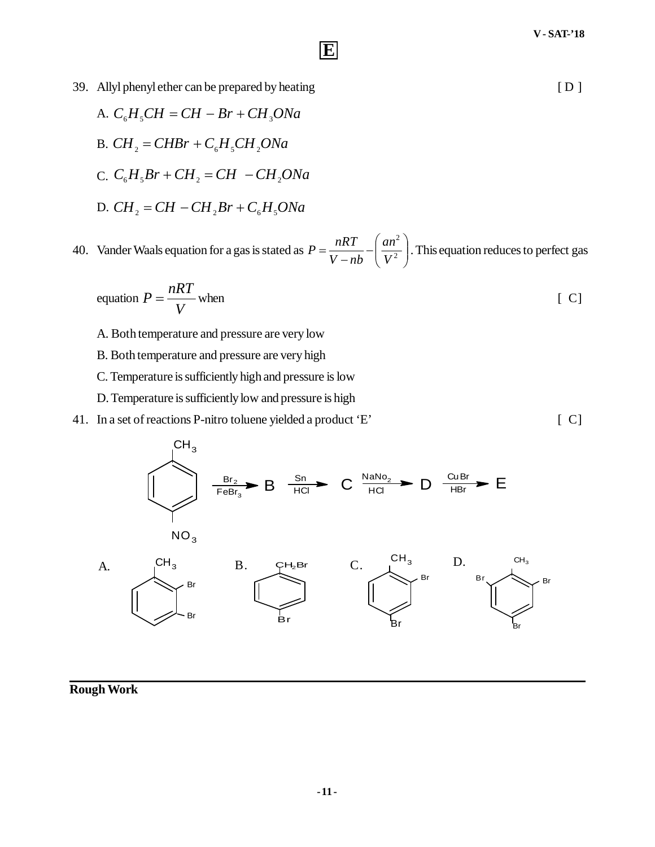- 39. Allyl phenyl ether can be prepared by heating [ D ]
	- A.  $C_{6}H_{5}CH = CH Br + CH_{3}ONa$ B.  $CH_2 = CHBr + C_6H_5CH_2ONa$  $C_c$ ,  $C_6H_5Br + CH_2 = CH - CH_2ONa$
	- D.  $CH<sub>2</sub> = CH CH<sub>2</sub>Br + C<sub>6</sub>H<sub>3</sub>ONa$

40. Vander Waals equation for a gas is stated as  $P = \frac{nRT}{V - nb} - \left| \frac{an}{V^2} \right|$  $\bigg)$  $\mathcal{L}_{\mathcal{L}}$  $\overline{\phantom{a}}$  $\setminus$ ſ  $\overline{a}$  $=\frac{n\pi}{V-nb}-\frac{an}{V^2}$ 2 *V an V nb*  $P = \frac{nRT}{r} - \left(\frac{an^2}{r^2}\right)$ . This equation reduces to perfect gas

**E**

equation 
$$
P = \frac{nRT}{V}
$$
 when [C]

- A. Both temperature and pressure are very low
- B. Both temperature and pressure are very high
- C. Temperature is sufficiently high and pressure is low
- D. Temperature is sufficiently low and pressure is high
- 41. In a set of reactions P-nitro toluene yielded a product 'E' [ C]

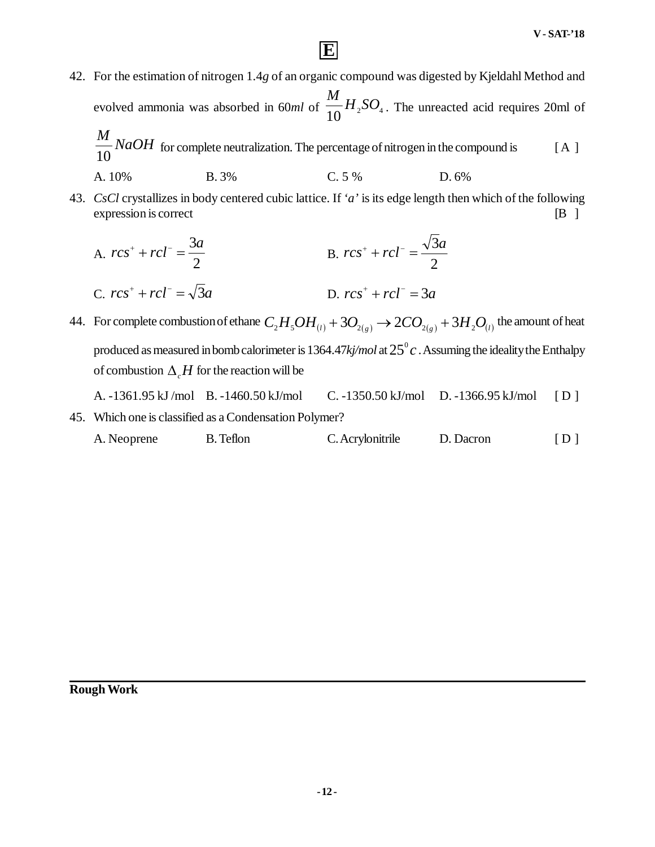42. For the estimation of nitrogen 1.4*g* of an organic compound was digested by Kjeldahl Method and evolved ammonia was absorbed in 60ml of  $\frac{1}{10}H_{2}SO_{4}$  $\frac{M}{10}H_{2}SO_{4}$ . The unreacted acid requires 20ml of  $M_{\rm{max}}$ 

**E**

$$
\frac{10}{10} NaOH
$$
 for complete neutralization. The percentage of nitrogen in the compound is  
A. 10% B. 3% C. 5% D. 6%

43. *CsCl* crystallizes in body centered cubic lattice. If *'a'* is its edge length then which of the following expression is correct [B ]

A. 
$$
rcs^{+} + rcl^{-} = \frac{3a}{2}
$$
  
\nB.  $rcs^{+} + rcl^{-} = \frac{\sqrt{3}a}{2}$   
\nC.  $rcs^{+} + rcl^{-} = \sqrt{3}a$   
\nD.  $rcs^{+} + rcl^{-} = 3a$ 

- 44. For complete combustion of ethane  $C_zH_zOH_{(l)}+3O_{_2(g)}\rightarrow2CO_{_2(g)}+3H_zO_{(l)}$  the amount of heat produced as measured in bomb calorimeter is  $1364.47$ *kj/mol* at  $25^{\circ}c$  . Assuming the ideality the Enthalpy of combustion  $\Delta H$  for the reaction will be
- A. -1361.95 kJ /mol B. -1460.50 kJ/mol C. -1350.50 kJ/mol D. -1366.95 kJ/mol [ D ] 45. Which one is classified as a Condensation Polymer?
	- A. Neoprene B. Teflon C. Acrylonitrile D. Dacron [ D ]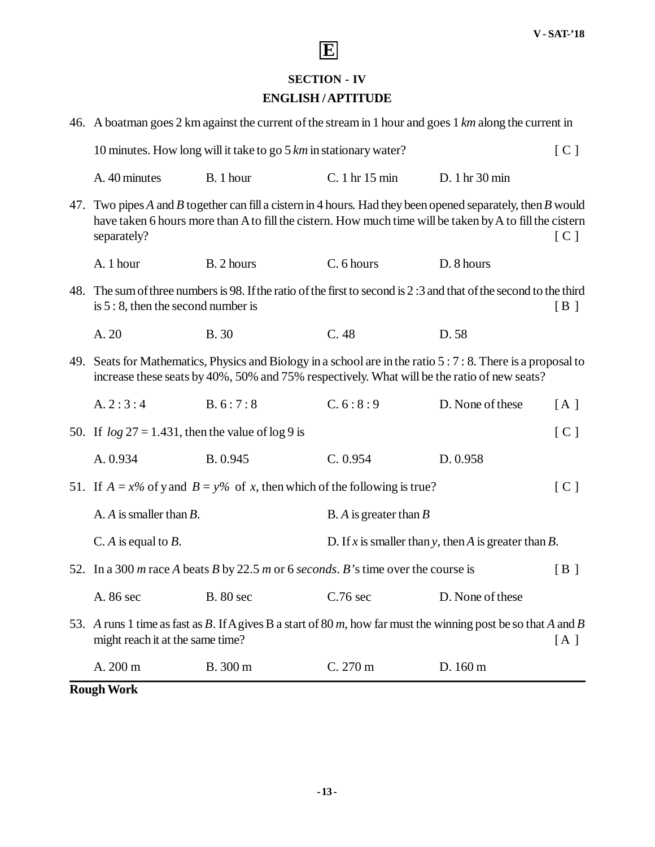

### **SECTION - IV**

#### **ENGLISH / APTITUDE**

| 46. A boatman goes 2 km against the current of the stream in 1 hour and goes 1 km along the current in |                                                                                                                                                                                                                         |                                                         |                  |     |
|--------------------------------------------------------------------------------------------------------|-------------------------------------------------------------------------------------------------------------------------------------------------------------------------------------------------------------------------|---------------------------------------------------------|------------------|-----|
| 10 minutes. How long will it take to go $5 \, km$ in stationary water?<br>[C]                          |                                                                                                                                                                                                                         |                                                         |                  |     |
| A. 40 minutes                                                                                          | B. 1 hour                                                                                                                                                                                                               | C. 1 hr 15 min                                          | D. 1 hr 30 min   |     |
| separately?                                                                                            | 47. Two pipes A and B together can fill a cistern in 4 hours. Had they been opened separately, then B would<br>have taken 6 hours more than A to fill the cistern. How much time will be taken by A to fill the cistern |                                                         |                  | [C] |
| A. 1 hour                                                                                              | B. 2 hours                                                                                                                                                                                                              | C. 6 hours                                              | D. 8 hours       |     |
| is $5:8$ , then the second number is                                                                   | 48. The sum of three numbers is 98. If the ratio of the first to second is 2:3 and that of the second to the third                                                                                                      |                                                         |                  | [B] |
| A. 20                                                                                                  | <b>B.30</b>                                                                                                                                                                                                             | C.48                                                    | D.58             |     |
|                                                                                                        | 49. Seats for Mathematics, Physics and Biology in a school are in the ratio 5 : 7 : 8. There is a proposal to<br>increase these seats by 40%, 50% and 75% respectively. What will be the ratio of new seats?            |                                                         |                  |     |
| A.2:3:4                                                                                                | B. 6:7:8                                                                                                                                                                                                                | C. 6: 8: 9                                              | D. None of these | [A] |
| 50. If $log 27 = 1.431$ , then the value of $log 9$ is                                                 |                                                                                                                                                                                                                         |                                                         |                  | [C] |
| A. 0.934                                                                                               | B. 0.945                                                                                                                                                                                                                | C. 0.954                                                | D. 0.958         |     |
| 51. If $A = x\%$ of y and $B = y\%$ of x, then which of the following is true?                         |                                                                                                                                                                                                                         |                                                         |                  | [C] |
| A. $A$ is smaller than $B$ .                                                                           |                                                                                                                                                                                                                         | B. A is greater than $B$                                |                  |     |
| C. A is equal to $B$ .                                                                                 |                                                                                                                                                                                                                         | D. If x is smaller than y, then A is greater than $B$ . |                  |     |
|                                                                                                        | 52. In a 300 m race A beats B by 22.5 m or 6 seconds. B's time over the course is                                                                                                                                       |                                                         |                  | [B] |
|                                                                                                        | A. 86 sec B. 80 sec C.76 sec D. None of these                                                                                                                                                                           |                                                         |                  |     |
| might reach it at the same time?                                                                       | 53. A runs 1 time as fast as B. If A gives B a start of 80 m, how far must the winning post be so that A and B                                                                                                          |                                                         |                  | [A] |
| A. 200 m                                                                                               | B. 300 m                                                                                                                                                                                                                | C. 270 m                                                | D. 160 m         |     |